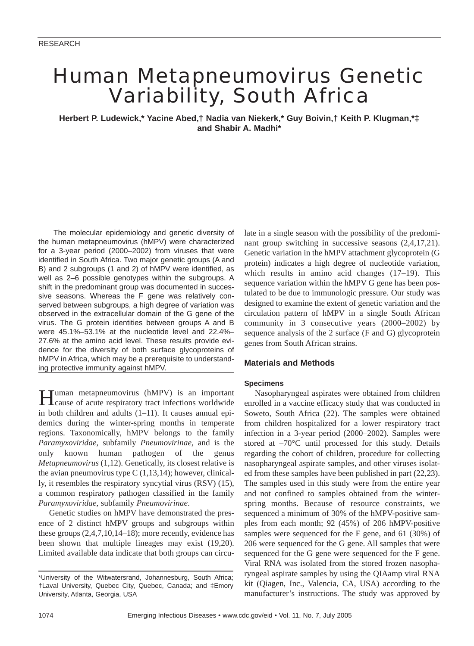# Human Metapneumovirus Genetic Variability, South Africa

**Herbert P. Ludewick,\* Yacine Abed,† Nadia van Niekerk,\* Guy Boivin,† Keith P. Klugman,\*‡ and Shabir A. Madhi\***

The molecular epidemiology and genetic diversity of the human metapneumovirus (hMPV) were characterized for a 3-year period (2000–2002) from viruses that were identified in South Africa. Two major genetic groups (A and B) and 2 subgroups (1 and 2) of hMPV were identified, as well as 2–6 possible genotypes within the subgroups. A shift in the predominant group was documented in successive seasons. Whereas the F gene was relatively conserved between subgroups, a high degree of variation was observed in the extracellular domain of the G gene of the virus. The G protein identities between groups A and B were 45.1%–53.1% at the nucleotide level and 22.4%– 27.6% at the amino acid level. These results provide evidence for the diversity of both surface glycoproteins of hMPV in Africa, which may be a prerequisite to understanding protective immunity against hMPV.

Human metapneumovirus (hMPV) is an important cause of acute respiratory tract infections worldwide in both children and adults (1–11). It causes annual epidemics during the winter-spring months in temperate regions. Taxonomically, hMPV belongs to the family *Paramyxoviridae*, subfamily *Pneumovirinae*, and is the only known human pathogen of the genus *Metapneumovirus* (1,12). Genetically, its closest relative is the avian pneumovirus type  $C(1,13,14)$ ; however, clinically, it resembles the respiratory syncytial virus (RSV) (15), a common respiratory pathogen classified in the family *Paramyxoviridae*, subfamily *Pneumovirinae*.

Genetic studies on hMPV have demonstrated the presence of 2 distinct hMPV groups and subgroups within these groups (2,4,7,10,14–18); more recently, evidence has been shown that multiple lineages may exist (19,20). Limited available data indicate that both groups can circulate in a single season with the possibility of the predominant group switching in successive seasons (2,4,17,21). Genetic variation in the hMPV attachment glycoprotein (G protein) indicates a high degree of nucleotide variation, which results in amino acid changes (17–19). This sequence variation within the hMPV G gene has been postulated to be due to immunologic pressure. Our study was designed to examine the extent of genetic variation and the circulation pattern of hMPV in a single South African community in 3 consecutive years (2000–2002) by sequence analysis of the 2 surface (F and G) glycoprotein genes from South African strains.

## **Materials and Methods**

## **Specimens**

Nasopharyngeal aspirates were obtained from children enrolled in a vaccine efficacy study that was conducted in Soweto, South Africa (22). The samples were obtained from children hospitalized for a lower respiratory tract infection in a 3-year period (2000–2002). Samples were stored at  $-70^{\circ}$ C until processed for this study. Details regarding the cohort of children, procedure for collecting nasopharyngeal aspirate samples, and other viruses isolated from these samples have been published in part (22,23). The samples used in this study were from the entire year and not confined to samples obtained from the winterspring months. Because of resource constraints, we sequenced a minimum of 30% of the hMPV-positive samples from each month; 92 (45%) of 206 hMPV-positive samples were sequenced for the F gene, and 61 (30%) of 206 were sequenced for the G gene. All samples that were sequenced for the G gene were sequenced for the F gene. Viral RNA was isolated from the stored frozen nasopharyngeal aspirate samples by using the QIAamp viral RNA kit (Qiagen, Inc., Valencia, CA, USA) according to the manufacturer's instructions. The study was approved by

<sup>\*</sup>University of the Witwatersrand, Johannesburg, South Africa; †Laval University, Quebec City, Quebec, Canada; and ‡Emory University, Atlanta, Georgia, USA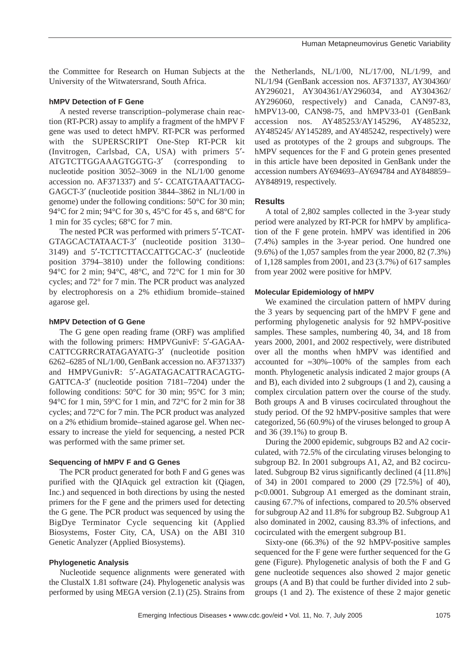the Committee for Research on Human Subjects at the University of the Witwatersrand, South Africa.

#### **hMPV Detection of F Gene**

A nested reverse transcription–polymerase chain reaction (RT-PCR) assay to amplify a fragment of the hMPV F gene was used to detect hMPV. RT-PCR was performed with the SUPERSCRIPT One-Step RT-PCR kit (Invitrogen, Carlsbad, CA, USA) with primers 5′- ATGTCTTGGAAAGTGGTG-3′ (corresponding to nucleotide position 3052–3069 in the NL/1/00 genome accession no. AF371337) and 5′- CCATGTAAATTACG-GAGCT-3′ (nucleotide position 3844–3862 in NL/1/00 in genome) under the following conditions: 50°C for 30 min; 94°C for 2 min; 94°C for 30 s, 45°C for 45 s, and 68°C for 1 min for 35 cycles; 68°C for 7 min.

The nested PCR was performed with primers 5′-TCAT-GTAGCACTATAACT-3′ (nucleotide position 3130– 3149) and 5′-TCTTCTTACCATTGCAC-3′ (nucleotide position 3794–3810) under the following conditions: 94°C for 2 min; 94°C, 48°C, and 72°C for 1 min for 30 cycles; and 72° for 7 min. The PCR product was analyzed by electrophoresis on a 2% ethidium bromide–stained agarose gel.

#### **hMPV Detection of G Gene**

The G gene open reading frame (ORF) was amplified with the following primers: HMPVGunivF: 5'-GAGAA-CATTCGRRCRATAGAYATG-3′ (nucleotide position 6262–6285 of NL/1/00, GenBank accession no. AF371337) and HMPVGunivR: 5′-AGATAGACATTRACAGTG-GATTCA-3′ (nucleotide position 7181–7204) under the following conditions:  $50^{\circ}$ C for 30 min;  $95^{\circ}$ C for 3 min; 94°C for 1 min, 59°C for 1 min, and 72°C for 2 min for 38 cycles; and 72°C for 7 min. The PCR product was analyzed on a 2% ethidium bromide–stained agarose gel. When necessary to increase the yield for sequencing, a nested PCR was performed with the same primer set.

## **Sequencing of hMPV F and G Genes**

The PCR product generated for both F and G genes was purified with the QIAquick gel extraction kit (Qiagen, Inc.) and sequenced in both directions by using the nested primers for the F gene and the primers used for detecting the G gene. The PCR product was sequenced by using the BigDye Terminator Cycle sequencing kit (Applied Biosystems, Foster City, CA, USA) on the ABI 310 Genetic Analyzer (Applied Biosystems).

## **Phylogenetic Analysis**

Nucleotide sequence alignments were generated with the ClustalX 1.81 software (24). Phylogenetic analysis was performed by using MEGA version (2.1) (25). Strains from the Netherlands, NL/1/00, NL/17/00, NL/1/99, and NL/1/94 (GenBank accession nos. AF371337, AY304360/ AY296021, AY304361/AY296034, and AY304362/ AY296060, respectively) and Canada, CAN97-83, hMPV13-00, CAN98-75, and hMPV33-01 (GenBank accession nos. AY485253/AY145296, AY485232, AY485245/ AY145289, and AY485242, respectively) were used as prototypes of the 2 groups and subgroups. The hMPV sequences for the F and G protein genes presented in this article have been deposited in GenBank under the accession numbers AY694693–AY694784 and AY848859– AY848919, respectively.

## **Results**

A total of 2,802 samples collected in the 3-year study period were analyzed by RT-PCR for hMPV by amplification of the F gene protein. hMPV was identified in 206 (7.4%) samples in the 3-year period. One hundred one (9.6%) of the 1,057 samples from the year 2000, 82 (7.3%) of 1,128 samples from 2001, and 23 (3.7%) of 617 samples from year 2002 were positive for hMPV.

#### **Molecular Epidemiology of hMPV**

We examined the circulation pattern of hMPV during the 3 years by sequencing part of the hMPV F gene and performing phylogenetic analysis for 92 hMPV-positive samples. These samples, numbering 40, 34, and 18 from years 2000, 2001, and 2002 respectively, were distributed over all the months when hMPV was identified and accounted for ≈30%–100% of the samples from each month. Phylogenetic analysis indicated 2 major groups (A and B), each divided into 2 subgroups (1 and 2), causing a complex circulation pattern over the course of the study. Both groups A and B viruses cocirculated throughout the study period. Of the 92 hMPV-positive samples that were categorized, 56 (60.9%) of the viruses belonged to group A and 36 (39.1%) to group B.

During the 2000 epidemic, subgroups B2 and A2 cocirculated, with 72.5% of the circulating viruses belonging to subgroup B2. In 2001 subgroups A1, A2, and B2 cocirculated. Subgroup B2 virus significantly declined (4 [11.8%] of 34) in 2001 compared to 2000 (29 [72.5%] of 40), p<0.0001. Subgroup A1 emerged as the dominant strain, causing 67.7% of infections, compared to 20.5% observed for subgroup A2 and 11.8% for subgroup B2. Subgroup A1 also dominated in 2002, causing 83.3% of infections, and cocirculated with the emergent subgroup B1.

Sixty-one (66.3%) of the 92 hMPV-positive samples sequenced for the F gene were further sequenced for the G gene (Figure). Phylogenetic analysis of both the F and G gene nucleotide sequences also showed 2 major genetic groups (A and B) that could be further divided into 2 subgroups (1 and 2). The existence of these 2 major genetic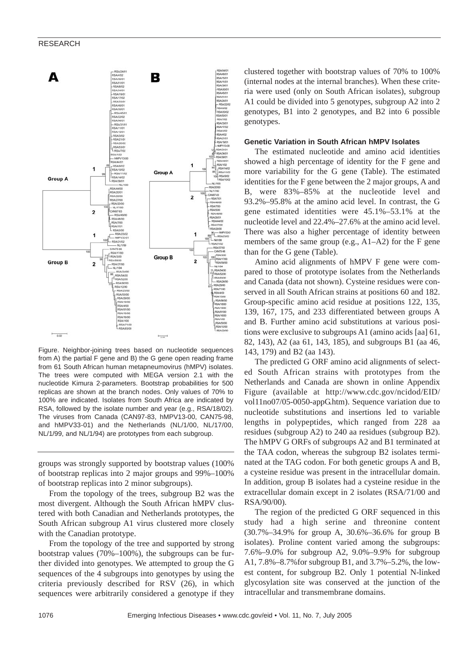

Figure. Neighbor-joining trees based on nucleotide sequences from A) the partial F gene and B) the G gene open reading frame from 61 South African human metapneumovirus (hMPV) isolates. The trees were computed with MEGA version 2.1 with the nucleotide Kimura 2-parameters. Bootstrap probabilities for 500 replicas are shown at the branch nodes. Only values of 70% to 100% are indicated. Isolates from South Africa are indicated by RSA, followed by the isolate number and year (e.g., RSA/18/02). The viruses from Canada (CAN97-83, hMPV13-00, CAN75-98, and hMPV33-01) and the Netherlands (NL/1/00, NL/17/00, NL/1/99, and NL/1/94) are prototypes from each subgroup.

groups was strongly supported by bootstrap values (100% of bootstrap replicas into 2 major groups and 99%–100% of bootstrap replicas into 2 minor subgroups).

From the topology of the trees, subgroup B2 was the most divergent. Although the South African hMPV clustered with both Canadian and Netherlands prototypes, the South African subgroup A1 virus clustered more closely with the Canadian prototype.

From the topology of the tree and supported by strong bootstrap values (70%–100%), the subgroups can be further divided into genotypes. We attempted to group the G sequences of the 4 subgroups into genotypes by using the criteria previously described for RSV (26), in which sequences were arbitrarily considered a genotype if they clustered together with bootstrap values of 70% to 100% (internal nodes at the internal branches). When these criteria were used (only on South African isolates), subgroup A1 could be divided into 5 genotypes, subgroup A2 into 2 genotypes, B1 into 2 genotypes, and B2 into 6 possible genotypes.

#### **Genetic Variation in South African hMPV Isolates**

The estimated nucleotide and amino acid identities showed a high percentage of identity for the F gene and more variability for the G gene (Table). The estimated identities for the F gene between the 2 major groups, A and B, were 83%–85% at the nucleotide level and 93.2%–95.8% at the amino acid level. In contrast, the G gene estimated identities were 45.1%–53.1% at the nucleotide level and 22.4%–27.6% at the amino acid level. There was also a higher percentage of identity between members of the same group (e.g., A1–A2) for the F gene than for the G gene (Table).

Amino acid alignments of hMPV F gene were compared to those of prototype isolates from the Netherlands and Canada (data not shown). Cysteine residues were conserved in all South African strains at positions 60 and 182. Group-specific amino acid residue at positions 122, 135, 139, 167, 175, and 233 differentiated between groups A and B. Further amino acid substitutions at various positions were exclusive to subgroups A1 (amino acids [aa] 61, 82, 143), A2 (aa 61, 143, 185), and subgroups B1 (aa 46, 143, 179) and B2 (aa 143).

The predicted G ORF amino acid alignments of selected South African strains with prototypes from the Netherlands and Canada are shown in online Appendix Figure (available at http://www.cdc.gov/ncidod/EID/ vol11no07/05-0050-appG.htm). Sequence variation due to nucleotide substitutions and insertions led to variable lengths in polypeptides, which ranged from 228 aa residues (subgroup A2) to 240 aa residues (subgroup B2). The hMPV G ORFs of subgroups A2 and B1 terminated at the TAA codon, whereas the subgroup B2 isolates terminated at the TAG codon. For both genetic groups A and B, a cysteine residue was present in the intracellular domain. In addition, group B isolates had a cysteine residue in the extracellular domain except in 2 isolates (RSA/71/00 and RSA/90/00).

The region of the predicted G ORF sequenced in this study had a high serine and threonine content (30.7%–34.9% for group A, 30.6%–36.6% for group B isolates). Proline content varied among the subgroups: 7.6%–9.0% for subgroup A2, 9.0%–9.9% for subgroup A1, 7.8%–8.7%for subgroup B1, and 3.7%–5.2%, the lowest content, for subgroup B2. Only 1 potential N-linked glycosylation site was conserved at the junction of the intracellular and transmembrane domains.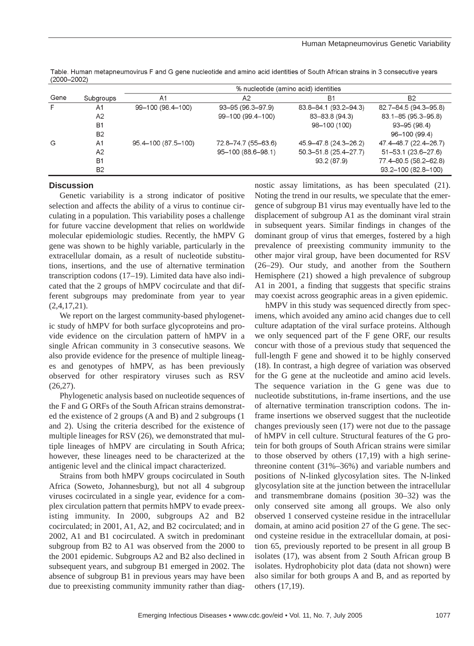|      |                |                     |                     | % nucleotide (amino acid) identities |                           |
|------|----------------|---------------------|---------------------|--------------------------------------|---------------------------|
| Gene | Subgroups      | A1                  | A2                  | Β1                                   | <b>B2</b>                 |
| F.   | A1             | 99-100 (98.4-100)   | 93-95 (96.3-97.9)   | 83.8-84.1 (93.2-94.3)                | 82.7-84.5 (94.3-95.8)     |
|      | A2             |                     | 99-100 (99.4-100)   | 83-83.8 (94.3)                       | 83.1-85 (95.3-95.8)       |
|      | B <sub>1</sub> |                     |                     | 98-100 (100)                         | $93 - 95(98.4)$           |
|      | <b>B2</b>      |                     |                     |                                      | 96-100 (99.4)             |
| G    | A1             | 95.4-100 (87.5-100) | 72.8-74.7 (55-63.6) | 45.9-47.8 (24.3-26.2)                | 47.4-48.7 (22.4-26.7)     |
|      | A2             |                     | 95-100 (88.6-98.1)  | 50.3-51.8 (25.4-27.7)                | $51 - 53.1$ (23.6 - 27.6) |
|      | <b>B1</b>      |                     |                     | 93.2 (87.9)                          | 77.4-80.5 (58.2-62.8)     |
|      | <b>B2</b>      |                     |                     |                                      | 93.2-100 (82.8-100)       |

Table. Human metapneumovirus F and G gene nucleotide and amino acid identities of South African strains in 3 consecutive years  $(2000 - 2002)$ 

## **Discussion**

Genetic variability is a strong indicator of positive selection and affects the ability of a virus to continue circulating in a population. This variability poses a challenge for future vaccine development that relies on worldwide molecular epidemiologic studies. Recently, the hMPV G gene was shown to be highly variable, particularly in the extracellular domain, as a result of nucleotide substitutions, insertions, and the use of alternative termination transcription codons (17–19). Limited data have also indicated that the 2 groups of hMPV cocirculate and that different subgroups may predominate from year to year  $(2,4,17,21)$ .

We report on the largest community-based phylogenetic study of hMPV for both surface glycoproteins and provide evidence on the circulation pattern of hMPV in a single African community in 3 consecutive seasons. We also provide evidence for the presence of multiple lineages and genotypes of hMPV, as has been previously observed for other respiratory viruses such as RSV  $(26,27)$ .

Phylogenetic analysis based on nucleotide sequences of the F and G ORFs of the South African strains demonstrated the existence of 2 groups (A and B) and 2 subgroups (1 and 2). Using the criteria described for the existence of multiple lineages for RSV (26), we demonstrated that multiple lineages of hMPV are circulating in South Africa; however, these lineages need to be characterized at the antigenic level and the clinical impact characterized.

Strains from both hMPV groups cocirculated in South Africa (Soweto, Johannesburg), but not all 4 subgroup viruses cocirculated in a single year, evidence for a complex circulation pattern that permits hMPV to evade preexisting immunity. In 2000, subgroups A2 and B2 cocirculated; in 2001, A1, A2, and B2 cocirculated; and in 2002, A1 and B1 cocirculated. A switch in predominant subgroup from B2 to A1 was observed from the 2000 to the 2001 epidemic. Subgroups A2 and B2 also declined in subsequent years, and subgroup B1 emerged in 2002. The absence of subgroup B1 in previous years may have been due to preexisting community immunity rather than diagnostic assay limitations, as has been speculated (21). Noting the trend in our results, we speculate that the emergence of subgroup B1 virus may eventually have led to the displacement of subgroup A1 as the dominant viral strain in subsequent years. Similar findings in changes of the dominant group of virus that emerges, fostered by a high prevalence of preexisting community immunity to the other major viral group, have been documented for RSV (26–29). Our study, and another from the Southern Hemisphere (21) showed a high prevalence of subgroup A1 in 2001, a finding that suggests that specific strains may coexist across geographic areas in a given epidemic.

hMPV in this study was sequenced directly from specimens, which avoided any amino acid changes due to cell culture adaptation of the viral surface proteins. Although we only sequenced part of the F gene ORF, our results concur with those of a previous study that sequenced the full-length F gene and showed it to be highly conserved (18). In contrast, a high degree of variation was observed for the G gene at the nucleotide and amino acid levels. The sequence variation in the G gene was due to nucleotide substitutions, in-frame insertions, and the use of alternative termination transcription codons. The inframe insertions we observed suggest that the nucleotide changes previously seen (17) were not due to the passage of hMPV in cell culture. Structural features of the G protein for both groups of South African strains were similar to those observed by others (17,19) with a high serinethreonine content (31%–36%) and variable numbers and positions of N-linked glycosylation sites. The N-linked glycosylation site at the junction between the intracellular and transmembrane domains (position 30–32) was the only conserved site among all groups. We also only observed 1 conserved cysteine residue in the intracellular domain, at amino acid position 27 of the G gene. The second cysteine residue in the extracellular domain, at position 65, previously reported to be present in all group B isolates (17), was absent from 2 South African group B isolates. Hydrophobicity plot data (data not shown) were also similar for both groups A and B, and as reported by others (17,19).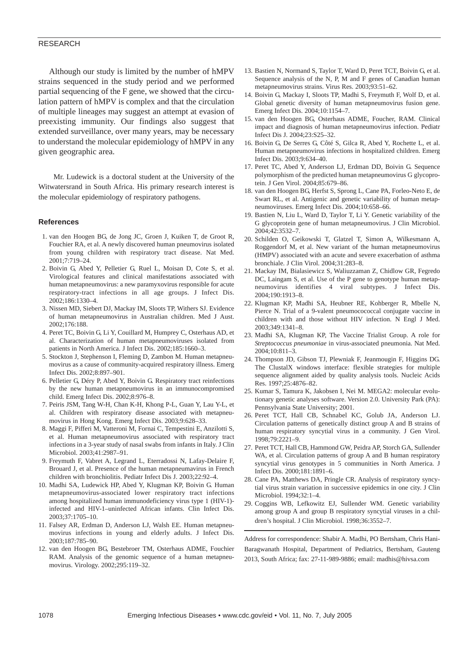#### RESEARCH

Although our study is limited by the number of hMPV strains sequenced in the study period and we performed partial sequencing of the F gene, we showed that the circulation pattern of hMPV is complex and that the circulation of multiple lineages may suggest an attempt at evasion of preexisting immunity. Our findings also suggest that extended surveillance, over many years, may be necessary to understand the molecular epidemiology of hMPV in any given geographic area.

Mr. Ludewick is a doctoral student at the University of the Witwatersrand in South Africa. His primary research interest is the molecular epidemiology of respiratory pathogens.

#### **References**

- 1. van den Hoogen BG, de Jong JC, Groen J, Kuiken T, de Groot R, Fouchier RA, et al. A newly discovered human pneumovirus isolated from young children with respiratory tract disease. Nat Med. 2001;7:719–24.
- 2. Boivin G, Abed Y, Pelletier G, Ruel L, Moisan D, Cote S, et al. Virological features and clinical manifestations associated with human metapneumovirus: a new paramyxovirus responsible for acute respiratory-tract infections in all age groups. J Infect Dis. 2002;186:1330–4.
- 3. Nissen MD, Siebert DJ, Mackay IM, Sloots TP, Withers SJ. Evidence of human metapneumovirus in Australian children. Med J Aust. 2002;176:188.
- 4. Peret TC, Boivin G, Li Y, Couillard M, Humprey C, Osterhaus AD, et al. Characterization of human metapneumoviruses isolated from patients in North America. J Infect Dis. 2002;185:1660–3.
- 5. Stockton J, Stephenson I, Fleming D, Zambon M. Human metapneumovirus as a cause of community-acquired respiratory illness. Emerg Infect Dis. 2002;8:897–901.
- 6. Pelletier G, Déry P, Abed Y, Boivin G. Respiratory tract reinfections by the new human metapneumovirus in an immunocompromised child. Emerg Infect Dis. 2002;8:976–8.
- 7. Peiris JSM, Tang W-H, Chan K-H, Khong P-L, Guan Y, Lau Y-L, et al. Children with respiratory disease associated with metapneumovirus in Hong Kong. Emerg Infect Dis. 2003;9:628–33.
- 8. Maggi F, Pifferi M, Vatteroni M, Fornai C, Tempestini E, Anzilotti S, et al. Human metapneumovirus associated with respiratory tract infections in a 3-year study of nasal swabs from infants in Italy. J Clin Microbiol. 2003;41:2987–91.
- 9. Freymuth F, Vabret A, Legrand L, Eterradossi N, Lafay-Delaire F, Brouard J, et al. Presence of the human metapneumavirus in French children with bronchiolitis. Pediatr Infect Dis J. 2003;22:92–4.
- 10. Madhi SA, Ludewick HP, Abed Y, Klugman KP, Boivin G. Human metapneumovirus-associated lower respiratory tract infections among hospitalized human immunodeficiency virus type 1 (HIV-1) infected and HIV-1–uninfected African infants. Clin Infect Dis. 2003;37:1705–10.
- 11. Falsey AR, Erdman D, Anderson LJ, Walsh EE. Human metapneumovirus infections in young and elderly adults. J Infect Dis. 2003;187:785–90.
- 12. van den Hoogen BG, Bestebroer TM, Osterhaus ADME, Fouchier RAM. Analysis of the genomic sequence of a human metapneumovirus. Virology. 2002;295:119–32.
- 13. Bastien N, Normand S, Taylor T, Ward D, Peret TCT, Boivin G, et al. Sequence analysis of the N, P, M and F genes of Canadian human metapneumovirus strains. Virus Res. 2003;93:51–62.
- 14. Boivin G, Mackay I, Sloots TP, Madhi S, Freymuth F, Wolf D, et al. Global genetic diversity of human metapneumovirus fusion gene. Emerg Infect Dis. 2004;10:1154–7.
- 15. van den Hoogen BG, Osterhaus ADME, Foucher, RAM. Clinical impact and diagnosis of human metapneumovirus infection. Pediatr Infect Dis J. 2004;23:S25–32.
- 16. Boivin G, De Serres G, Côté S, Gilca R, Abed Y, Rochette L, et al. Human metapneumovirus infections in hospitalized children. Emerg Infect Dis. 2003;9:634–40.
- 17. Peret TC, Abed Y, Anderson LJ, Erdman DD, Boivin G. Sequence polymorphism of the predicted human metapneumovirus G glycoprotein. J Gen Virol. 2004;85:679–86.
- 18. van den Hoogen BG, Herfst S, Sprong L, Cane PA, Forleo-Neto E, de Swart RL, et al. Antigenic and genetic variability of human metapneumoviruses. Emerg Infect Dis. 2004;10:658–66.
- 19. Bastien N, Liu L, Ward D, Taylor T, Li Y. Genetic variability of the G glycoprotein gene of human metapneumovirus. J Clin Microbiol. 2004;42:3532–7.
- 20. Schilden O, Geikowski T, Glatzel T, Simon A, Wilkesmann A, Roggendorf M, et al. New variant of the human metapneumovirus (HMPV) associated with an acute and severe exacerbation of asthma bronchiale. J Clin Virol. 2004;31:283–8.
- 21. Mackay IM, Bialasiewicz S, Waliuzzaman Z, Chidlow GR, Fegredo DC, Laingam S, et al. Use of the P gene to genotype human metapneumovirus identifies 4 viral subtypes. J Infect Dis. 2004;190:1913–8.
- 22. Klugman KP, Madhi SA, Heubner RE, Kohberger R, Mbelle N, Pierce N. Trial of a 9-valent pneumocococcal conjugate vaccine in children with and those without HIV infection. N Engl J Med. 2003;349:1341–8.
- 23. Madhi SA, Klugman KP, The Vaccine Trialist Group. A role for *Streptococcus pneumoniae* in virus-associated pneumonia. Nat Med. 2004;10:811–3.
- 24. Thompson JD, Gibson TJ, Plewniak F, Jeanmougin F, Higgins DG. The ClustalX windows interface: flexible strategies for multiple sequence alignment aided by quality analysis tools. Nucleic Acids Res. 1997;25:4876–82.
- 25. Kumar S, Tamura K, Jakobsen I, Nei M. MEGA2: molecular evolutionary genetic analyses software. Version 2.0. University Park (PA): Pennsylvania State University; 2001.
- 26. Peret TCT, Hall CB, Schnabel KC, Golub JA, Anderson LJ. Circulation patterns of genetically distinct group A and B strains of human respiratory syncytial virus in a community. J Gen Virol. 1998;79:2221–9.
- 27. Peret TCT, Hall CB, Hammond GW, Peidra AP, Storch GA, Sullender WA, et al. Circulation patterns of group A and B human respiratory syncytial virus genotypes in 5 communities in North America. J Infect Dis. 2000;181:1891–6.
- 28. Cane PA, Matthews DA, Pringle CR. Analysis of respiratory syncytial virus strain variation in successive epidemics in one city. J Clin Microbiol. 1994;32:1–4.
- 29. Coggins WB, Lefkowitz EJ, Sullender WM. Genetic variability among group A and group B respiratory syncytial viruses in a children's hospital. J Clin Microbiol. 1998;36:3552–7.

Address for correspondence: Shabir A. Madhi, PO Bertsham, Chris Hani-Baragwanath Hospital, Department of Pediatrics, Bertsham, Gauteng 2013, South Africa; fax: 27-11-989-9886; email: madhis@hivsa.com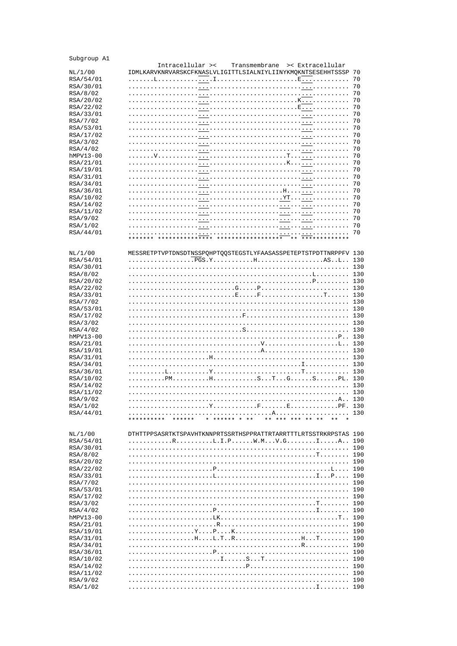| Subgroup A1           | Transmembrane                                                                                                                            |            |
|-----------------------|------------------------------------------------------------------------------------------------------------------------------------------|------------|
|                       | Intracellular ><<br>>< Extracellular                                                                                                     |            |
| NL/1/00               | IDMLKARVKNRVARSKCFKNASLVLIGITTLSIALNIYLIINYKMQKNTSESEHHTSSSP 70                                                                          |            |
| RSA/54/01             |                                                                                                                                          | 70         |
| RSA/30/01             |                                                                                                                                          | 70         |
| RSA/8/02              | .                                                                                                                                        | 70         |
| RSA/20/02             | . . K<br>1.1.1.1.1<br>.<br>and a straight                                                                                                | 70         |
| RSA/22/02             | . E<br>.                                                                                                                                 | 70         |
| RSA/33/01<br>RSA/7/02 | .<br>.                                                                                                                                   | 70<br>70   |
| RSA/53/01             | .<br>$\ldots$                                                                                                                            | 70         |
| RSA/17/02             | .                                                                                                                                        | 70         |
| RSA/3/02              | .<br>1.1.1.1                                                                                                                             | 70         |
| RSA/4/02              | .<br>.                                                                                                                                   | 70         |
| hMPV13-00             | <u>. T.</u><br>.                                                                                                                         | 70         |
| RSA/21/01             |                                                                                                                                          | 70         |
| RSA/19/01             | .<br>1.1.1.1.1                                                                                                                           | 70         |
| RSA/31/01             | .<br>.                                                                                                                                   | 70         |
| RSA/34/01             | .<br>.                                                                                                                                   | 70         |
| RSA/36/01             | . H                                                                                                                                      | 70         |
| RSA/10/02             | . YT.<br>.                                                                                                                               | 70         |
| RSA/14/02             | .<br>.                                                                                                                                   | 70         |
| RSA/11/02             | $\begin{array}{cccccccccccccc} \bullet & \bullet & \bullet & \bullet & \bullet & \bullet & \bullet & \bullet & \bullet \end{array}$<br>. | 70         |
| RSA/9/02              | .<br>.                                                                                                                                   | 70         |
| RSA/1/02              | .<br>1.1.1.1<br>1.1.1.1.1                                                                                                                | 70         |
| RSA/44/01             | $\cdot$<br>1.1.1.1                                                                                                                       | 70         |
|                       | *************** *******************<br>** *************                                                                                  |            |
|                       |                                                                                                                                          |            |
| NL/1/00               | MESSRETPTVPTDNSDTNSSPOHPTOOSTEGSTLYFAASASSPETEPTSTPDTTNRPPFV 130                                                                         |            |
| RSA/54/01             |                                                                                                                                          |            |
| RSA/30/01             |                                                                                                                                          | 130<br>130 |
| RSA/8/02<br>RSA/20/02 | . . L                                                                                                                                    | 130        |
| RSA/22/02             |                                                                                                                                          | 130        |
| RSA/33/01             |                                                                                                                                          | 130        |
| RSA/7/02              |                                                                                                                                          | 130        |
| RSA/53/01             |                                                                                                                                          | 130        |
| RSA/17/02             | . 130                                                                                                                                    |            |
| RSA/3/02              |                                                                                                                                          | 130        |
| RSA/4/02              |                                                                                                                                          | 130        |
| hMPV13-00             | $\ldots$ $P \ldots$                                                                                                                      | 130        |
| RSA/21/01             |                                                                                                                                          |            |
| RSA/19/01             | . A                                                                                                                                      | 130        |
| RSA/31/01             | .                                                                                                                                        | 130        |
| RSA/34/01             |                                                                                                                                          | 130        |
| RSA/36/01             |                                                                                                                                          | 130        |
| RSA/10/02             | . PM.                                                                                                                                    | 130        |
| RSA/14/02             |                                                                                                                                          | 130        |
| RSA/11/02             | and a straight and a                                                                                                                     | 130        |
| RSA/9/02<br>RSA/1/02  | 130                                                                                                                                      |            |
| RSA/44/01             | and a strain                                                                                                                             | 130        |
|                       | * ****** * **<br>** *** *** ** **<br>**********<br>******<br>$***$                                                                       |            |
|                       |                                                                                                                                          |            |
| NL/1/00               | DTHTTPPSASRTKTSPAVHTKNNPRTSSRTHSPPRATTRTARRTTTLRTSSTRKRPSTAS 190                                                                         |            |
| RSA/54/01             |                                                                                                                                          | 190        |
| RSA/30/01             |                                                                                                                                          | 190        |
| RSA/8/02              |                                                                                                                                          | 190        |
| RSA/20/02             |                                                                                                                                          | 190        |
| RSA/22/02             |                                                                                                                                          | 190        |
| RSA/33/01             |                                                                                                                                          | 190        |
| RSA/7/02              |                                                                                                                                          | 190        |
| RSA/53/01             |                                                                                                                                          | 190        |
| RSA/17/02             |                                                                                                                                          | 190        |
| RSA/3/02              |                                                                                                                                          | 190        |
| RSA/4/02<br>hMPV13-00 |                                                                                                                                          | 190<br>190 |
| RSA/21/01             |                                                                                                                                          | 190        |
| RSA/19/01             |                                                                                                                                          | 190        |
| RSA/31/01             |                                                                                                                                          | 190        |
| RSA/34/01             |                                                                                                                                          | 190        |
| RSA/36/01             |                                                                                                                                          | 190        |
| RSA/10/02             |                                                                                                                                          | 190        |
| RSA/14/02             |                                                                                                                                          | 190        |
| RSA/11/02             |                                                                                                                                          | 190        |
| RSA/9/02              |                                                                                                                                          | 190        |
| RSA/1/02              |                                                                                                                                          |            |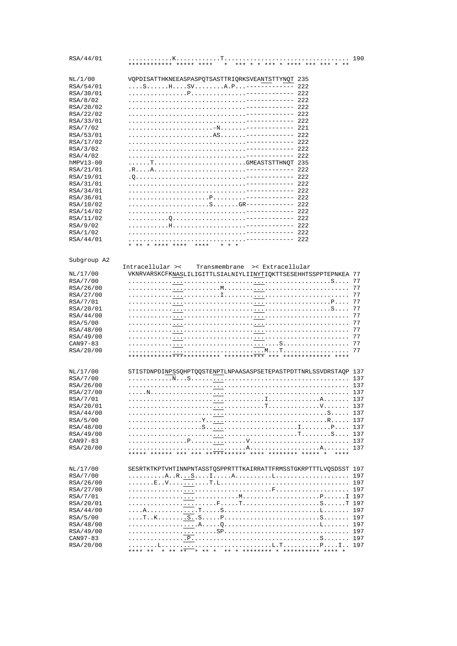| RSA/44/01             | $* * * * * *$<br>************ ***** ****<br>$\ddot{ }$           | 190        |
|-----------------------|------------------------------------------------------------------|------------|
| NL/1/00               | VQPDISATTHKNEEASPASPQTSASTTRIQRKSVEANTSTTYNQT 235                |            |
| RSA/54/01             | 222                                                              |            |
| RSA/30/01             | 222                                                              |            |
| RSA/8/02              | $-222$                                                           |            |
| RSA/20/02             | $-- 222$                                                         |            |
| RSA/22/02             | $--- 222$                                                        |            |
| RSA/33/01             | 2.2.2                                                            |            |
| RSA/7/02              | --- 221                                                          |            |
| RSA/53/01             | $--- 222$                                                        |            |
| RSA/17/02             | $---222$                                                         |            |
| RSA/3/02              | $--- 222$<br>$1.1.1.1 - -$<br>$--- 222$                          |            |
| RSA/4/02<br>hMPV13-00 | TGMEASTSTTHNOT 235                                               |            |
| RSA/21/01             | $-----222$                                                       |            |
| RSA/19/01             | $--- 222$                                                        |            |
| RSA/31/01             | $-222$                                                           |            |
| RSA/34/01             | $-222$                                                           |            |
| RSA/36/01             | $--- 222$                                                        |            |
| RSA/10/02             | $--222$                                                          |            |
| RSA/14/02             | $--- 222$                                                        |            |
| RSA/11/02             | $--- 222$                                                        |            |
| RSA/9/02              | $--- 222$                                                        |            |
| RSA/1/02              | $-222$                                                           |            |
| RSA/44/01             | $-222$                                                           |            |
|                       | ** * **** ****<br>$***$ * * *                                    |            |
| Subgroup A2           |                                                                  |            |
|                       | Intracellular ><<br>Transmembrane<br>>< Extracellular            |            |
| NL/17/00              | VKNRVARSKCFKNASLILIGITTLSIALNIYLIINYTIQKTTSESEHHTSSPPTEPNKEA 77  |            |
| RSA/7/00              |                                                                  | 77         |
| RSA/26/00             |                                                                  | 77         |
| RSA/27/00             |                                                                  | 77         |
| RSA/7/01              |                                                                  | 77         |
| RSA/20/01             | . S                                                              | 77         |
| RSA/44/00             |                                                                  | 77         |
| RSA/5/00<br>RSA/48/00 | .                                                                | 77<br>77   |
| RSA/49/00             |                                                                  | 77         |
| CAN97-83              |                                                                  | 77         |
| RSA/20/00             |                                                                  | 77         |
|                       | **************************************<br>*** *************      |            |
| NL/17/00              | STISTDNPDINPSSQHPTQQSTENPTLNPAASASPSETEPASTPDTTNRLSSVDRSTAQP 137 |            |
| RSA/7/00              |                                                                  | 137        |
| RSA/26/00             |                                                                  | 137        |
| RSA/27/00             | . N                                                              | 137        |
| RSA/7/01              |                                                                  | 137        |
| RSA/20/01             |                                                                  | 137        |
| RSA/44/00             |                                                                  | 137        |
| RSA/5/00              |                                                                  | 137        |
| RSA/48/00             |                                                                  | 137        |
| RSA/49/00             |                                                                  | 137        |
| CAN97-83              |                                                                  | 137        |
| RSA/20/00             |                                                                  | 137        |
|                       |                                                                  |            |
|                       |                                                                  |            |
| NL/17/00              | SESRTKTKPTVHTINNPNTASSTQSPPRTTTKAIRRATTFRMSSTGKRPTTTLVQSDSST 197 |            |
| RSA/7/00<br>RSA/26/00 |                                                                  | 197<br>197 |
| RSA/27/00             |                                                                  | 197        |
| RSA/7/01              |                                                                  |            |
| RSA/20/01             |                                                                  |            |
| RSA/44/00             |                                                                  | 197        |
| RSA/5/00              |                                                                  | 197        |
| RSA/48/00             |                                                                  | 197        |
| RSA/49/00             |                                                                  | 197        |
| CAN97-83              |                                                                  | 197        |
| RSA/20/00             |                                                                  |            |
|                       |                                                                  |            |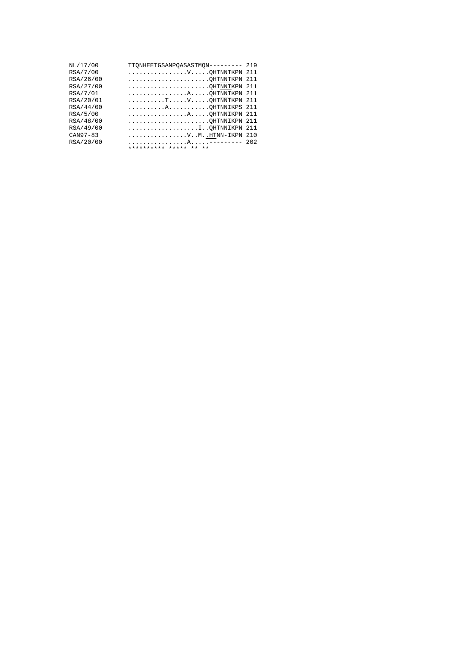| NL/17/00  | TTQNHEETGSANPQASASTMQN---------                                            | 219  |
|-----------|----------------------------------------------------------------------------|------|
| RSA/7/00  | VQHTNNTKPN 211                                                             |      |
| RSA/26/00 | QHTNNTKPN                                                                  | 2.11 |
| RSA/27/00 |                                                                            | 211  |
| RSA/7/01  | AQHTNNTKPN 211                                                             |      |
| RSA/20/01 | $\ldots \ldots \ldots$ . T. $\ldots \ldots$ V. $\ldots$ . QHTNNTKPN 211    |      |
| RSA/44/00 | AQHTNNIKPS 211                                                             |      |
| RSA/5/00  | AQHTNNIKPN 211                                                             |      |
| RSA/48/00 | QHTNNIKPN                                                                  | -211 |
| RSA/49/00 | $\ldots \ldots \ldots \ldots \ldots \ldots \ldots \ldots \ldots$ QHTNNIKPN | 2.11 |
| CAN97-83  | VMHTNN-IKPN 210                                                            |      |
| RSA/20/00 |                                                                            | 202  |
|           | ********** ***** ** **                                                     |      |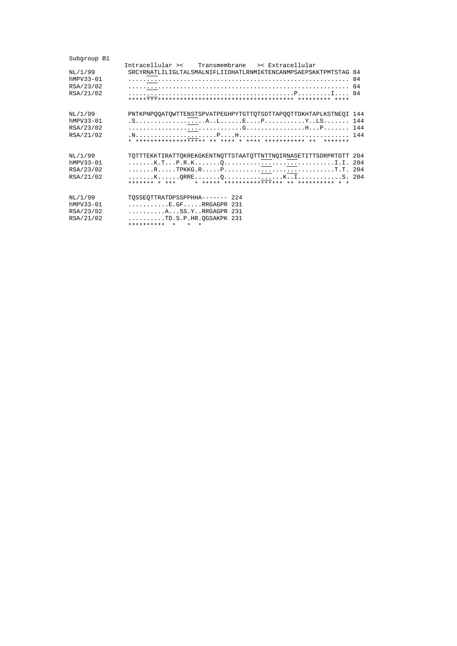| Subgroup B1                                      |                                                                                                                                                                                                |
|--------------------------------------------------|------------------------------------------------------------------------------------------------------------------------------------------------------------------------------------------------|
| NL/1/99<br>hMPV33-01<br>RSA/23/02<br>RSA/21/02   | Intracellular >< Transmembrane >< Extracellular<br>SRCYRNATLILIGLTALSMALNIFLIIDHATLRNMIKTENCANMPSAEPSKKTPMTSTAG 84<br>84<br>84                                                                 |
| NL/1/99<br>$hMPV33-01$<br>RSA/23/02<br>RSA/21/02 | PNTKPNPQQATQWTTENSTSPVATPEGHPYTGTTQTSDTTAPQQTTDKHTAPLKSTNEQI 144<br>*******                                                                                                                    |
| NL/1/99<br>hMPV33-01<br>RSA/23/02<br>RSA/21/02   | TQTTTEKKTIRATTQKREKGKENTNQTTSTAATQTTNTTNQIRNASETITTSDRPRTDTT 204<br>******* * ***                                                                                                              |
| NL/1/99<br>$hMPV33-01$<br>RSA/23/02<br>RSA/21/02 | TOSSEOTTRATDPSSPPHHA------- 224<br>$\ldots \ldots \ldots$ .E.GF. $\ldots$ .RRGAGPR 231<br>ASS.YRRGAGPR 231<br>$\ldots \ldots \ldots$ TD.S.P.HR.OGSAKPK 231<br>**********<br>$\star$<br>$\star$ |